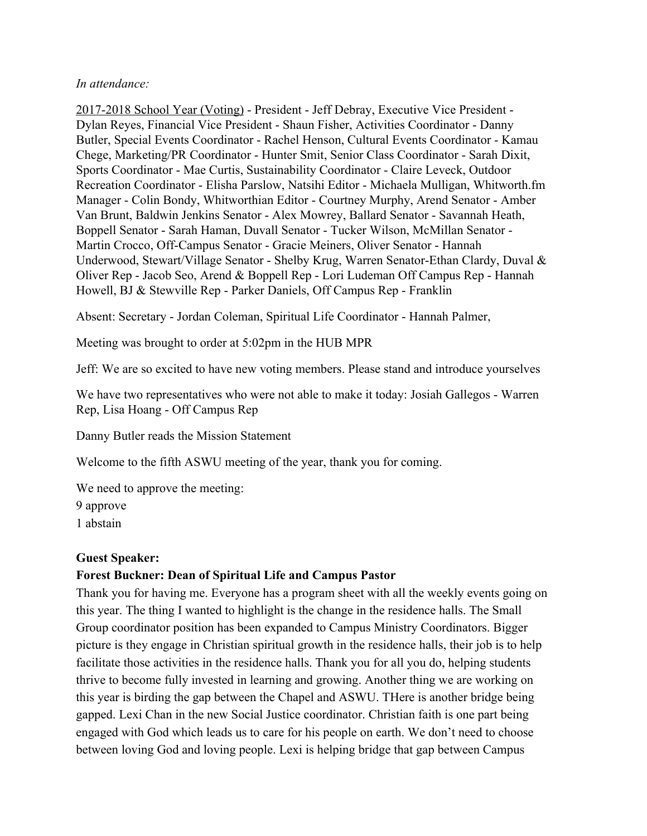#### *In attendance:*

2017-2018 School Year (Voting) - President - Jeff Debray, Executive Vice President - Dylan Reyes, Financial Vice President - Shaun Fisher, Activities Coordinator - Danny Butler, Special Events Coordinator - Rachel Henson, Cultural Events Coordinator - Kamau Chege, Marketing/PR Coordinator - Hunter Smit, Senior Class Coordinator - Sarah Dixit, Sports Coordinator - Mae Curtis, Sustainability Coordinator - Claire Leveck, Outdoor Recreation Coordinator - Elisha Parslow, Natsihi Editor - Michaela Mulligan, Whitworth.fm Manager - Colin Bondy, Whitworthian Editor - Courtney Murphy, Arend Senator - Amber Van Brunt, Baldwin Jenkins Senator - Alex Mowrey, Ballard Senator - Savannah Heath, Boppell Senator - Sarah Haman, Duvall Senator - Tucker Wilson, McMillan Senator - Martin Crocco, Off-Campus Senator - Gracie Meiners, Oliver Senator - Hannah Underwood, Stewart/Village Senator - Shelby Krug, Warren Senator-Ethan Clardy, Duval & Oliver Rep - Jacob Seo, Arend & Boppell Rep - Lori Ludeman Off Campus Rep - Hannah Howell, BJ & Stewville Rep - Parker Daniels, Off Campus Rep - Franklin

Absent: Secretary - Jordan Coleman, Spiritual Life Coordinator - Hannah Palmer,

Meeting was brought to order at 5:02pm in the HUB MPR

Jeff: We are so excited to have new voting members. Please stand and introduce yourselves

We have two representatives who were not able to make it today: Josiah Gallegos - Warren Rep, Lisa Hoang - Off Campus Rep

Danny Butler reads the Mission Statement

Welcome to the fifth ASWU meeting of the year, thank you for coming.

We need to approve the meeting:

9 approve

1 abstain

#### **Guest Speaker:**

### **Forest Buckner: Dean of Spiritual Life and Campus Pastor**

Thank you for having me. Everyone has a program sheet with all the weekly events going on this year. The thing I wanted to highlight is the change in the residence halls. The Small Group coordinator position has been expanded to Campus Ministry Coordinators. Bigger picture is they engage in Christian spiritual growth in the residence halls, their job is to help facilitate those activities in the residence halls. Thank you for all you do, helping students thrive to become fully invested in learning and growing. Another thing we are working on this year is birding the gap between the Chapel and ASWU. THere is another bridge being gapped. Lexi Chan in the new Social Justice coordinator. Christian faith is one part being engaged with God which leads us to care for his people on earth. We don't need to choose between loving God and loving people. Lexi is helping bridge that gap between Campus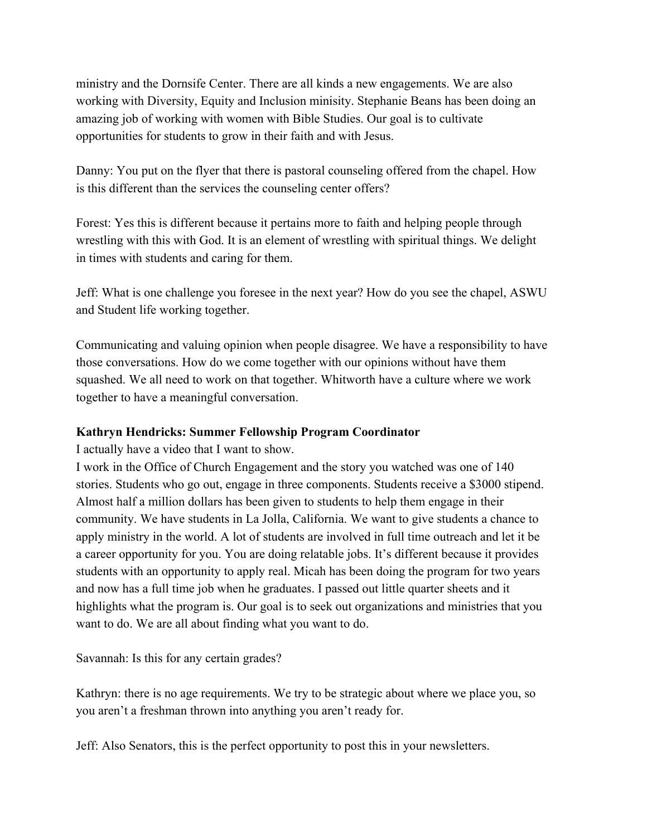ministry and the Dornsife Center. There are all kinds a new engagements. We are also working with Diversity, Equity and Inclusion minisity. Stephanie Beans has been doing an amazing job of working with women with Bible Studies. Our goal is to cultivate opportunities for students to grow in their faith and with Jesus.

Danny: You put on the flyer that there is pastoral counseling offered from the chapel. How is this different than the services the counseling center offers?

Forest: Yes this is different because it pertains more to faith and helping people through wrestling with this with God. It is an element of wrestling with spiritual things. We delight in times with students and caring for them.

Jeff: What is one challenge you foresee in the next year? How do you see the chapel, ASWU and Student life working together.

Communicating and valuing opinion when people disagree. We have a responsibility to have those conversations. How do we come together with our opinions without have them squashed. We all need to work on that together. Whitworth have a culture where we work together to have a meaningful conversation.

### **Kathryn Hendricks: Summer Fellowship Program Coordinator**

I actually have a video that I want to show.

I work in the Office of Church Engagement and the story you watched was one of 140 stories. Students who go out, engage in three components. Students receive a \$3000 stipend. Almost half a million dollars has been given to students to help them engage in their community. We have students in La Jolla, California. We want to give students a chance to apply ministry in the world. A lot of students are involved in full time outreach and let it be a career opportunity for you. You are doing relatable jobs. It's different because it provides students with an opportunity to apply real. Micah has been doing the program for two years and now has a full time job when he graduates. I passed out little quarter sheets and it highlights what the program is. Our goal is to seek out organizations and ministries that you want to do. We are all about finding what you want to do.

Savannah: Is this for any certain grades?

Kathryn: there is no age requirements. We try to be strategic about where we place you, so you aren't a freshman thrown into anything you aren't ready for.

Jeff: Also Senators, this is the perfect opportunity to post this in your newsletters.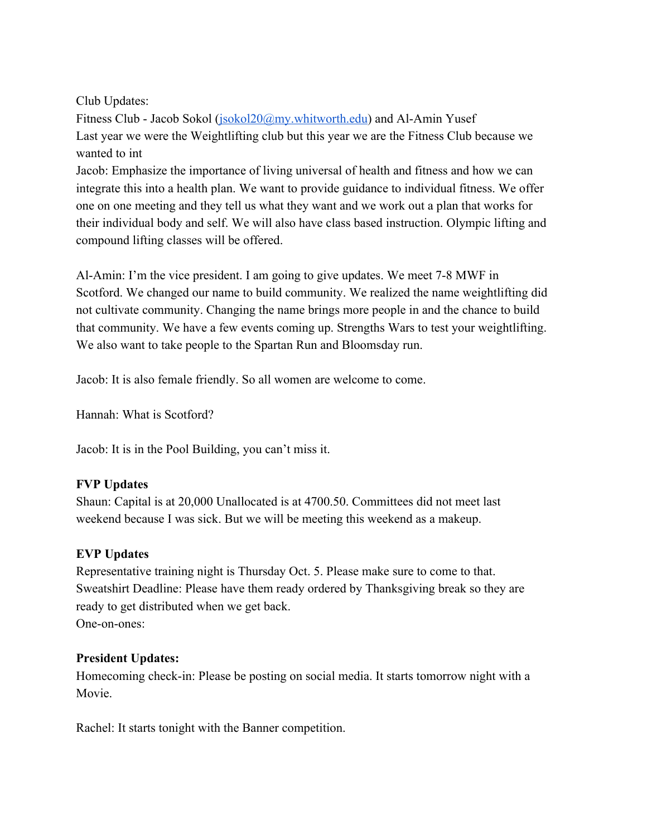Club Updates:

Fitness Club - Jacob Sokol ([jsokol20@my.whitworth.edu](mailto:jsokol20@my.whitworth.edu)) and Al-Amin Yusef Last year we were the Weightlifting club but this year we are the Fitness Club because we wanted to int

Jacob: Emphasize the importance of living universal of health and fitness and how we can integrate this into a health plan. We want to provide guidance to individual fitness. We offer one on one meeting and they tell us what they want and we work out a plan that works for their individual body and self. We will also have class based instruction. Olympic lifting and compound lifting classes will be offered.

Al-Amin: I'm the vice president. I am going to give updates. We meet 7-8 MWF in Scotford. We changed our name to build community. We realized the name weightlifting did not cultivate community. Changing the name brings more people in and the chance to build that community. We have a few events coming up. Strengths Wars to test your weightlifting. We also want to take people to the Spartan Run and Bloomsday run.

Jacob: It is also female friendly. So all women are welcome to come.

Hannah: What is Scotford?

Jacob: It is in the Pool Building, you can't miss it.

# **FVP Updates**

Shaun: Capital is at 20,000 Unallocated is at 4700.50. Committees did not meet last weekend because I was sick. But we will be meeting this weekend as a makeup.

# **EVP Updates**

Representative training night is Thursday Oct. 5. Please make sure to come to that. Sweatshirt Deadline: Please have them ready ordered by Thanksgiving break so they are ready to get distributed when we get back. One-on-ones:

# **President Updates:**

Homecoming check-in: Please be posting on social media. It starts tomorrow night with a Movie.

Rachel: It starts tonight with the Banner competition.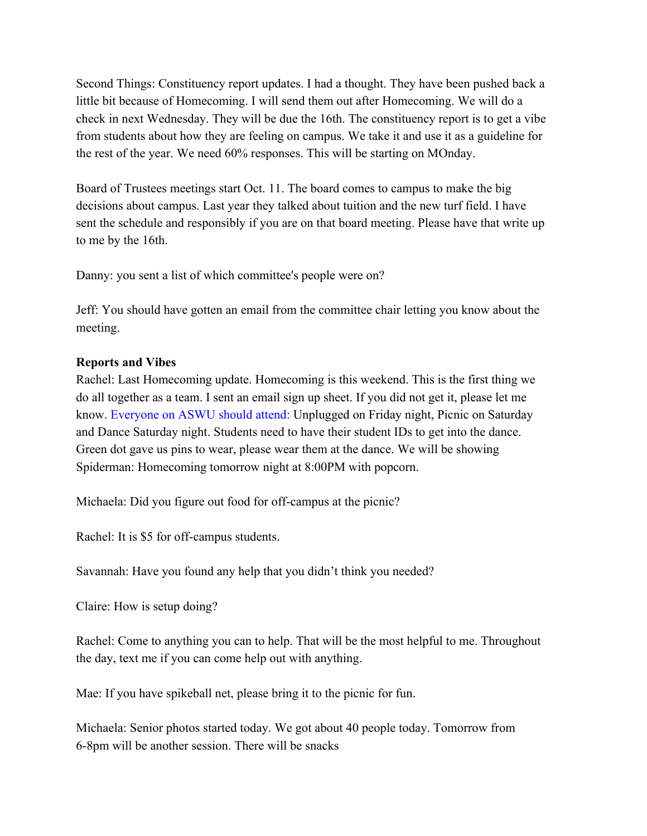Second Things: Constituency report updates. I had a thought. They have been pushed back a little bit because of Homecoming. I will send them out after Homecoming. We will do a check in next Wednesday. They will be due the 16th. The constituency report is to get a vibe from students about how they are feeling on campus. We take it and use it as a guideline for the rest of the year. We need 60% responses. This will be starting on MOnday.

Board of Trustees meetings start Oct. 11. The board comes to campus to make the big decisions about campus. Last year they talked about tuition and the new turf field. I have sent the schedule and responsibly if you are on that board meeting. Please have that write up to me by the 16th.

Danny: you sent a list of which committee's people were on?

Jeff: You should have gotten an email from the committee chair letting you know about the meeting.

#### **Reports and Vibes**

Rachel: Last Homecoming update. Homecoming is this weekend. This is the first thing we do all together as a team. I sent an email sign up sheet. If you did not get it, please let me know. Everyone on ASWU should attend: Unplugged on Friday night, Picnic on Saturday and Dance Saturday night. Students need to have their student IDs to get into the dance. Green dot gave us pins to wear, please wear them at the dance. We will be showing Spiderman: Homecoming tomorrow night at 8:00PM with popcorn.

Michaela: Did you figure out food for off-campus at the picnic?

Rachel: It is \$5 for off-campus students.

Savannah: Have you found any help that you didn't think you needed?

Claire: How is setup doing?

Rachel: Come to anything you can to help. That will be the most helpful to me. Throughout the day, text me if you can come help out with anything.

Mae: If you have spikeball net, please bring it to the picnic for fun.

Michaela: Senior photos started today. We got about 40 people today. Tomorrow from 6-8pm will be another session. There will be snacks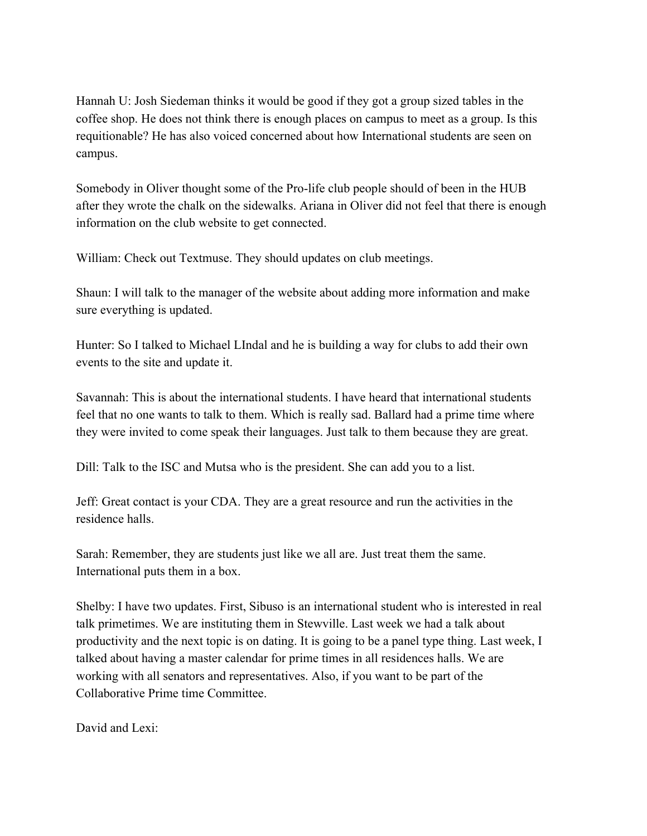Hannah U: Josh Siedeman thinks it would be good if they got a group sized tables in the coffee shop. He does not think there is enough places on campus to meet as a group. Is this requitionable? He has also voiced concerned about how International students are seen on campus.

Somebody in Oliver thought some of the Pro-life club people should of been in the HUB after they wrote the chalk on the sidewalks. Ariana in Oliver did not feel that there is enough information on the club website to get connected.

William: Check out Textmuse. They should updates on club meetings.

Shaun: I will talk to the manager of the website about adding more information and make sure everything is updated.

Hunter: So I talked to Michael LIndal and he is building a way for clubs to add their own events to the site and update it.

Savannah: This is about the international students. I have heard that international students feel that no one wants to talk to them. Which is really sad. Ballard had a prime time where they were invited to come speak their languages. Just talk to them because they are great.

Dill: Talk to the ISC and Mutsa who is the president. She can add you to a list.

Jeff: Great contact is your CDA. They are a great resource and run the activities in the residence halls.

Sarah: Remember, they are students just like we all are. Just treat them the same. International puts them in a box.

Shelby: I have two updates. First, Sibuso is an international student who is interested in real talk primetimes. We are instituting them in Stewville. Last week we had a talk about productivity and the next topic is on dating. It is going to be a panel type thing. Last week, I talked about having a master calendar for prime times in all residences halls. We are working with all senators and representatives. Also, if you want to be part of the Collaborative Prime time Committee.

David and Lexi: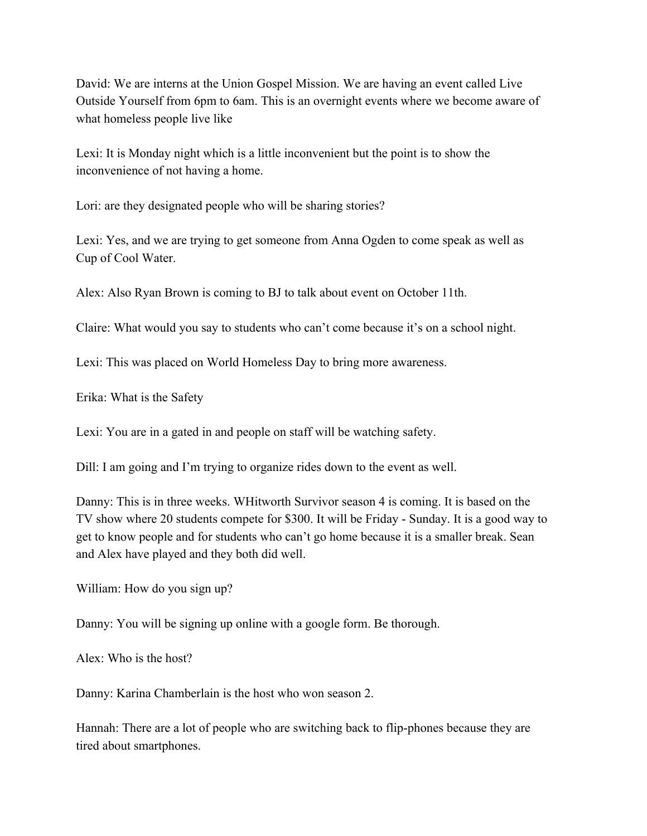David: We are interns at the Union Gospel Mission. We are having an event called Live Outside Yourself from 6pm to 6am. This is an overnight events where we become aware of what homeless people live like

Lexi: It is Monday night which is a little inconvenient but the point is to show the inconvenience of not having a home.

Lori: are they designated people who will be sharing stories?

Lexi: Yes, and we are trying to get someone from Anna Ogden to come speak as well as Cup of Cool Water.

Alex: Also Ryan Brown is coming to BJ to talk about event on October 11th.

Claire: What would you say to students who can't come because it's on a school night.

Lexi: This was placed on World Homeless Day to bring more awareness.

Erika: What is the Safety

Lexi: You are in a gated in and people on staff will be watching safety.

Dill: I am going and I'm trying to organize rides down to the event as well.

Danny: This is in three weeks. WHitworth Survivor season 4 is coming. It is based on the TV show where 20 students compete for \$300. It will be Friday - Sunday. It is a good way to get to know people and for students who can't go home because it is a smaller break. Sean and Alex have played and they both did well.

William: How do you sign up?

Danny: You will be signing up online with a google form. Be thorough.

Alex: Who is the host?

Danny: Karina Chamberlain is the host who won season 2.

Hannah: There are a lot of people who are switching back to flip-phones because they are tired about smartphones.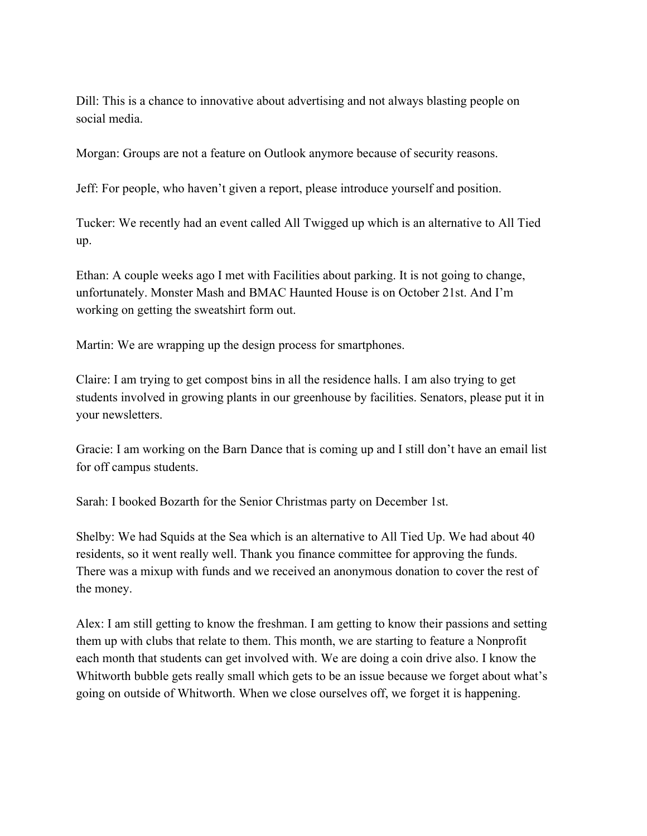Dill: This is a chance to innovative about advertising and not always blasting people on social media.

Morgan: Groups are not a feature on Outlook anymore because of security reasons.

Jeff: For people, who haven't given a report, please introduce yourself and position.

Tucker: We recently had an event called All Twigged up which is an alternative to All Tied up.

Ethan: A couple weeks ago I met with Facilities about parking. It is not going to change, unfortunately. Monster Mash and BMAC Haunted House is on October 21st. And I'm working on getting the sweatshirt form out.

Martin: We are wrapping up the design process for smartphones.

Claire: I am trying to get compost bins in all the residence halls. I am also trying to get students involved in growing plants in our greenhouse by facilities. Senators, please put it in your newsletters.

Gracie: I am working on the Barn Dance that is coming up and I still don't have an email list for off campus students.

Sarah: I booked Bozarth for the Senior Christmas party on December 1st.

Shelby: We had Squids at the Sea which is an alternative to All Tied Up. We had about 40 residents, so it went really well. Thank you finance committee for approving the funds. There was a mixup with funds and we received an anonymous donation to cover the rest of the money.

Alex: I am still getting to know the freshman. I am getting to know their passions and setting them up with clubs that relate to them. This month, we are starting to feature a Nonprofit each month that students can get involved with. We are doing a coin drive also. I know the Whitworth bubble gets really small which gets to be an issue because we forget about what's going on outside of Whitworth. When we close ourselves off, we forget it is happening.